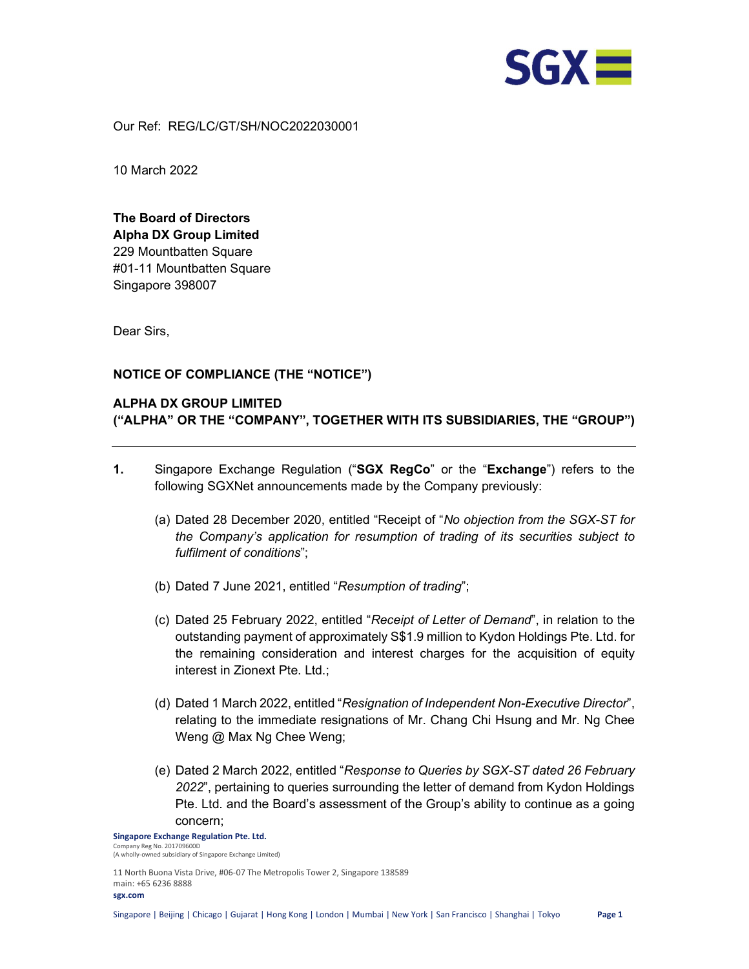

Our Ref: REG/LC/GT/SH/NOC2022030001

10 March 2022

The Board of Directors Alpha DX Group Limited 229 Mountbatten Square #01-11 Mountbatten Square Singapore 398007

Dear Sirs,

## NOTICE OF COMPLIANCE (THE "NOTICE")

# ALPHA DX GROUP LIMITED ("ALPHA" OR THE "COMPANY", TOGETHER WITH ITS SUBSIDIARIES, THE "GROUP")

- 1. Singapore Exchange Regulation ("SGX RegCo" or the "Exchange") refers to the following SGXNet announcements made by the Company previously:
	- (a) Dated 28 December 2020, entitled "Receipt of "No objection from the SGX-ST for the Company's application for resumption of trading of its securities subject to fulfilment of conditions";
	- (b) Dated 7 June 2021, entitled "Resumption of trading";
	- (c) Dated 25 February 2022, entitled "Receipt of Letter of Demand", in relation to the outstanding payment of approximately S\$1.9 million to Kydon Holdings Pte. Ltd. for the remaining consideration and interest charges for the acquisition of equity interest in Zionext Pte. Ltd.;
	- (d) Dated 1 March 2022, entitled "Resignation of Independent Non-Executive Director", relating to the immediate resignations of Mr. Chang Chi Hsung and Mr. Ng Chee Weng @ Max Ng Chee Weng;
	- (e) Dated 2 March 2022, entitled "Response to Queries by SGX-ST dated 26 February 2022", pertaining to queries surrounding the letter of demand from Kydon Holdings Pte. Ltd. and the Board's assessment of the Group's ability to continue as a going concern;

Singapore Exchange Regulation Pte. Ltd. .<br>ny Reg No. 201709600D (A wholly-owned subsidiary of Singapore Exchange Limited)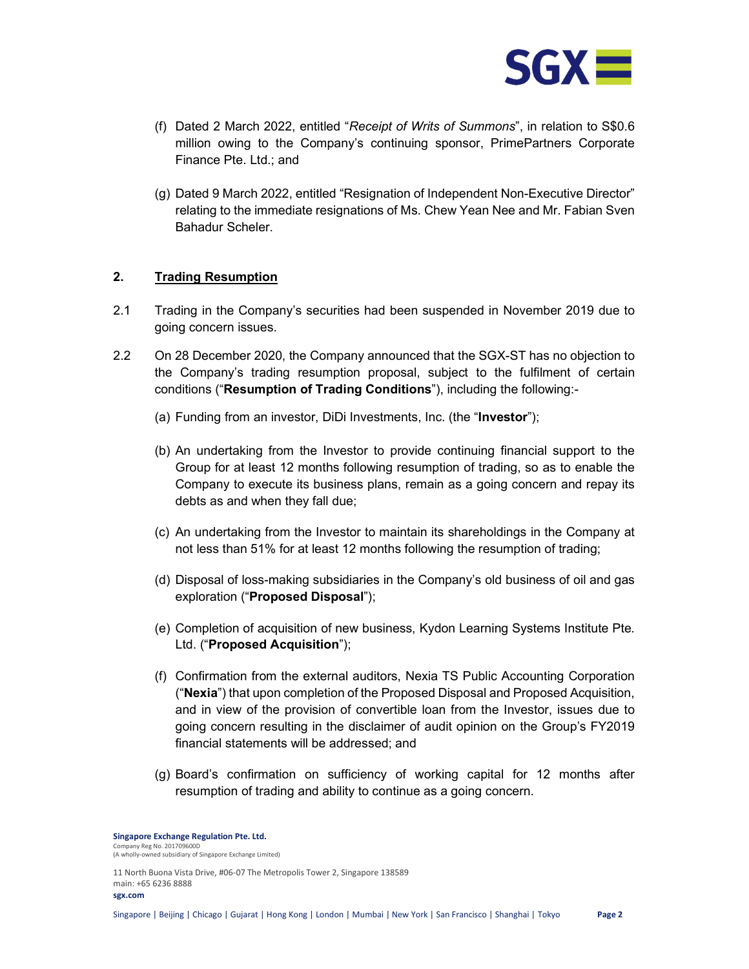

- (f) Dated 2 March 2022, entitled "Receipt of Writs of Summons", in relation to S\$0.6 million owing to the Company's continuing sponsor, PrimePartners Corporate Finance Pte. Ltd.; and
- (g) Dated 9 March 2022, entitled "Resignation of Independent Non-Executive Director" relating to the immediate resignations of Ms. Chew Yean Nee and Mr. Fabian Sven Bahadur Scheler.

## 2. Trading Resumption

- 2.1 Trading in the Company's securities had been suspended in November 2019 due to going concern issues.
- 2.2 On 28 December 2020, the Company announced that the SGX-ST has no objection to the Company's trading resumption proposal, subject to the fulfilment of certain conditions ("Resumption of Trading Conditions"), including the following:-
	- (a) Funding from an investor, DiDi Investments, Inc. (the "Investor");
	- (b) An undertaking from the Investor to provide continuing financial support to the Group for at least 12 months following resumption of trading, so as to enable the Company to execute its business plans, remain as a going concern and repay its debts as and when they fall due;
	- (c) An undertaking from the Investor to maintain its shareholdings in the Company at not less than 51% for at least 12 months following the resumption of trading;
	- (d) Disposal of loss-making subsidiaries in the Company's old business of oil and gas exploration ("Proposed Disposal");
	- (e) Completion of acquisition of new business, Kydon Learning Systems Institute Pte. Ltd. ("Proposed Acquisition");
	- (f) Confirmation from the external auditors, Nexia TS Public Accounting Corporation ("Nexia") that upon completion of the Proposed Disposal and Proposed Acquisition, and in view of the provision of convertible loan from the Investor, issues due to going concern resulting in the disclaimer of audit opinion on the Group's FY2019 financial statements will be addressed; and
	- (g) Board's confirmation on sufficiency of working capital for 12 months after resumption of trading and ability to continue as a going concern.

Singapore Exchange Regulation Pte. Ltd. .<br>ny Reg No. 201709600D (A wholly-owned subsidiary of Singapore Exchange Limited)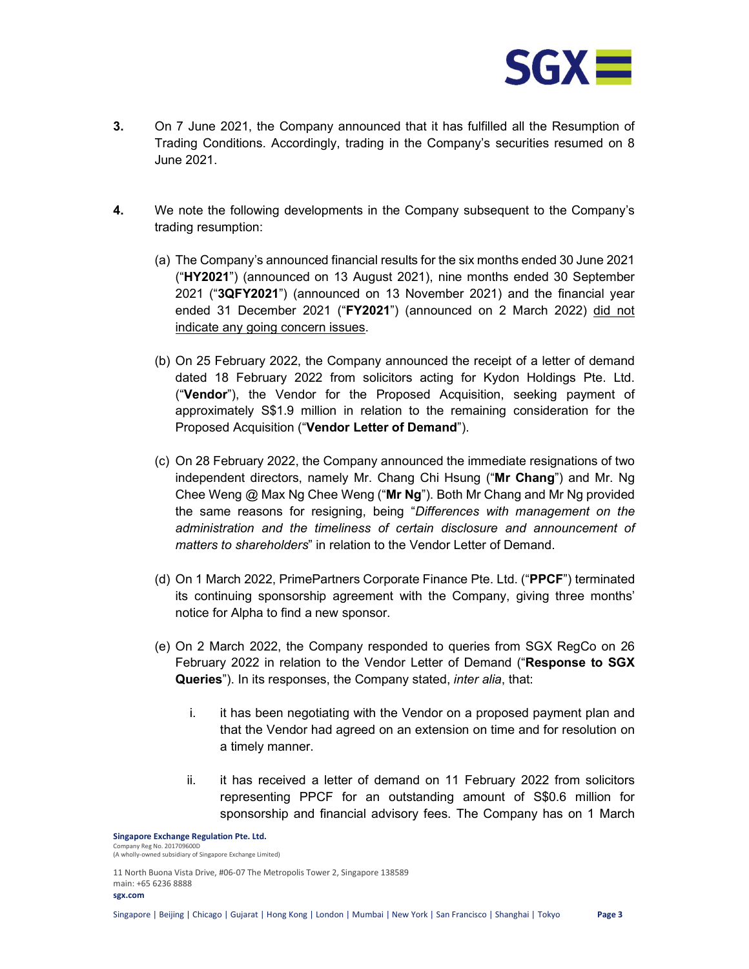

- 3. On 7 June 2021, the Company announced that it has fulfilled all the Resumption of Trading Conditions. Accordingly, trading in the Company's securities resumed on 8 June 2021.
- 4. We note the following developments in the Company subsequent to the Company's trading resumption:
	- (a) The Company's announced financial results for the six months ended 30 June 2021 ("HY2021") (announced on 13 August 2021), nine months ended 30 September 2021 ("3QFY2021") (announced on 13 November 2021) and the financial year ended 31 December 2021 ("FY2021") (announced on 2 March 2022) did not indicate any going concern issues.
	- (b) On 25 February 2022, the Company announced the receipt of a letter of demand dated 18 February 2022 from solicitors acting for Kydon Holdings Pte. Ltd. ("Vendor"), the Vendor for the Proposed Acquisition, seeking payment of approximately S\$1.9 million in relation to the remaining consideration for the Proposed Acquisition ("Vendor Letter of Demand").
	- (c) On 28 February 2022, the Company announced the immediate resignations of two independent directors, namely Mr. Chang Chi Hsung ("Mr Chang") and Mr. Ng Chee Weng  $@$  Max Ng Chee Weng ("Mr Ng"). Both Mr Chang and Mr Ng provided the same reasons for resigning, being "Differences with management on the administration and the timeliness of certain disclosure and announcement of matters to shareholders" in relation to the Vendor Letter of Demand.
	- (d) On 1 March 2022, PrimePartners Corporate Finance Pte. Ltd. ("PPCF") terminated its continuing sponsorship agreement with the Company, giving three months' notice for Alpha to find a new sponsor.
	- (e) On 2 March 2022, the Company responded to queries from SGX RegCo on 26 February 2022 in relation to the Vendor Letter of Demand ("Response to SGX Queries"). In its responses, the Company stated, inter alia, that:
		- i. it has been negotiating with the Vendor on a proposed payment plan and that the Vendor had agreed on an extension on time and for resolution on a timely manner.
		- ii. it has received a letter of demand on 11 February 2022 from solicitors representing PPCF for an outstanding amount of S\$0.6 million for sponsorship and financial advisory fees. The Company has on 1 March

Singapore Exchange Regulation Pte. Ltd. .<br>ny Reg No. 201709600D (A wholly-owned subsidiary of Singapore Exchange Limited)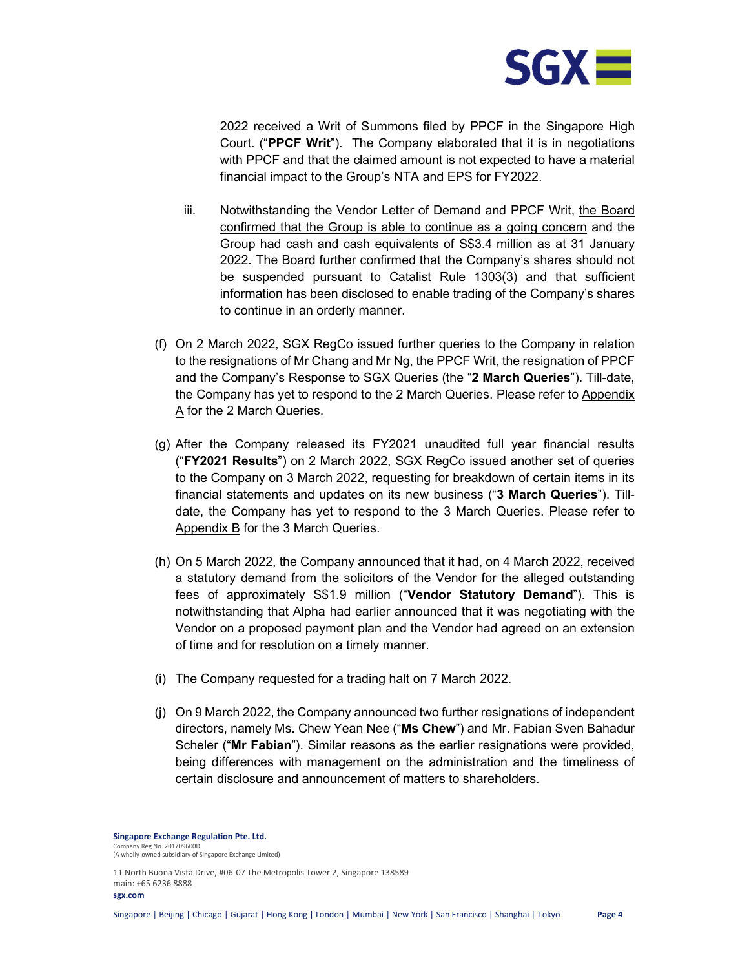

2022 received a Writ of Summons filed by PPCF in the Singapore High Court. ("PPCF Writ"). The Company elaborated that it is in negotiations with PPCF and that the claimed amount is not expected to have a material financial impact to the Group's NTA and EPS for FY2022.

- iii. Notwithstanding the Vendor Letter of Demand and PPCF Writ, the Board confirmed that the Group is able to continue as a going concern and the Group had cash and cash equivalents of S\$3.4 million as at 31 January 2022. The Board further confirmed that the Company's shares should not be suspended pursuant to Catalist Rule 1303(3) and that sufficient information has been disclosed to enable trading of the Company's shares to continue in an orderly manner.
- (f) On 2 March 2022, SGX RegCo issued further queries to the Company in relation to the resignations of Mr Chang and Mr Ng, the PPCF Writ, the resignation of PPCF and the Company's Response to SGX Queries (the "2 March Queries"). Till-date, the Company has yet to respond to the 2 March Queries. Please refer to Appendix A for the 2 March Queries.
- (g) After the Company released its FY2021 unaudited full year financial results ("FY2021 Results") on 2 March 2022, SGX RegCo issued another set of queries to the Company on 3 March 2022, requesting for breakdown of certain items in its financial statements and updates on its new business ("3 March Queries"). Tilldate, the Company has yet to respond to the 3 March Queries. Please refer to Appendix B for the 3 March Queries.
- (h) On 5 March 2022, the Company announced that it had, on 4 March 2022, received a statutory demand from the solicitors of the Vendor for the alleged outstanding fees of approximately S\$1.9 million ("Vendor Statutory Demand"). This is notwithstanding that Alpha had earlier announced that it was negotiating with the Vendor on a proposed payment plan and the Vendor had agreed on an extension of time and for resolution on a timely manner.
- (i) The Company requested for a trading halt on 7 March 2022.
- (j) On 9 March 2022, the Company announced two further resignations of independent directors, namely Ms. Chew Yean Nee ("Ms Chew") and Mr. Fabian Sven Bahadur Scheler ("Mr Fabian"). Similar reasons as the earlier resignations were provided, being differences with management on the administration and the timeliness of certain disclosure and announcement of matters to shareholders.

Singapore Exchange Regulation Pte. Ltd. .<br>ny Reg No. 201709600D (A wholly-owned subsidiary of Singapore Exchange Limited)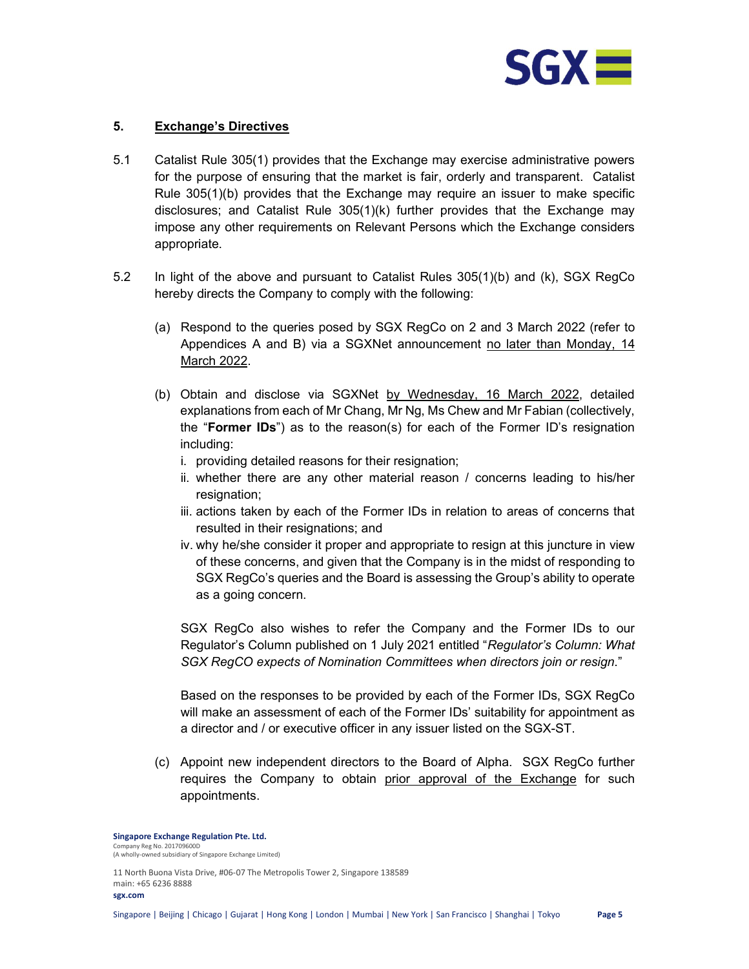

## 5. Exchange's Directives

- 5.1 Catalist Rule 305(1) provides that the Exchange may exercise administrative powers for the purpose of ensuring that the market is fair, orderly and transparent. Catalist Rule 305(1)(b) provides that the Exchange may require an issuer to make specific disclosures; and Catalist Rule  $305(1)(k)$  further provides that the Exchange may impose any other requirements on Relevant Persons which the Exchange considers appropriate.
- 5.2 In light of the above and pursuant to Catalist Rules 305(1)(b) and (k), SGX RegCo hereby directs the Company to comply with the following:
	- (a) Respond to the queries posed by SGX RegCo on 2 and 3 March 2022 (refer to Appendices A and B) via a SGXNet announcement no later than Monday, 14 March 2022.
	- (b) Obtain and disclose via SGXNet by Wednesday, 16 March 2022, detailed explanations from each of Mr Chang, Mr Ng, Ms Chew and Mr Fabian (collectively, the "Former IDs") as to the reason(s) for each of the Former ID's resignation including:
		- i. providing detailed reasons for their resignation;
		- ii. whether there are any other material reason / concerns leading to his/her resignation;
		- iii. actions taken by each of the Former IDs in relation to areas of concerns that resulted in their resignations; and
		- iv. why he/she consider it proper and appropriate to resign at this juncture in view of these concerns, and given that the Company is in the midst of responding to SGX RegCo's queries and the Board is assessing the Group's ability to operate as a going concern.

SGX RegCo also wishes to refer the Company and the Former IDs to our Regulator's Column published on 1 July 2021 entitled "Regulator's Column: What SGX RegCO expects of Nomination Committees when directors join or resign."

Based on the responses to be provided by each of the Former IDs, SGX RegCo will make an assessment of each of the Former IDs' suitability for appointment as a director and / or executive officer in any issuer listed on the SGX-ST.

(c) Appoint new independent directors to the Board of Alpha. SGX RegCo further requires the Company to obtain prior approval of the Exchange for such appointments.

Singapore Exchange Regulation Pte. Ltd. .<br>ny Reg No. 201709600D (A wholly-owned subsidiary of Singapore Exchange Limited)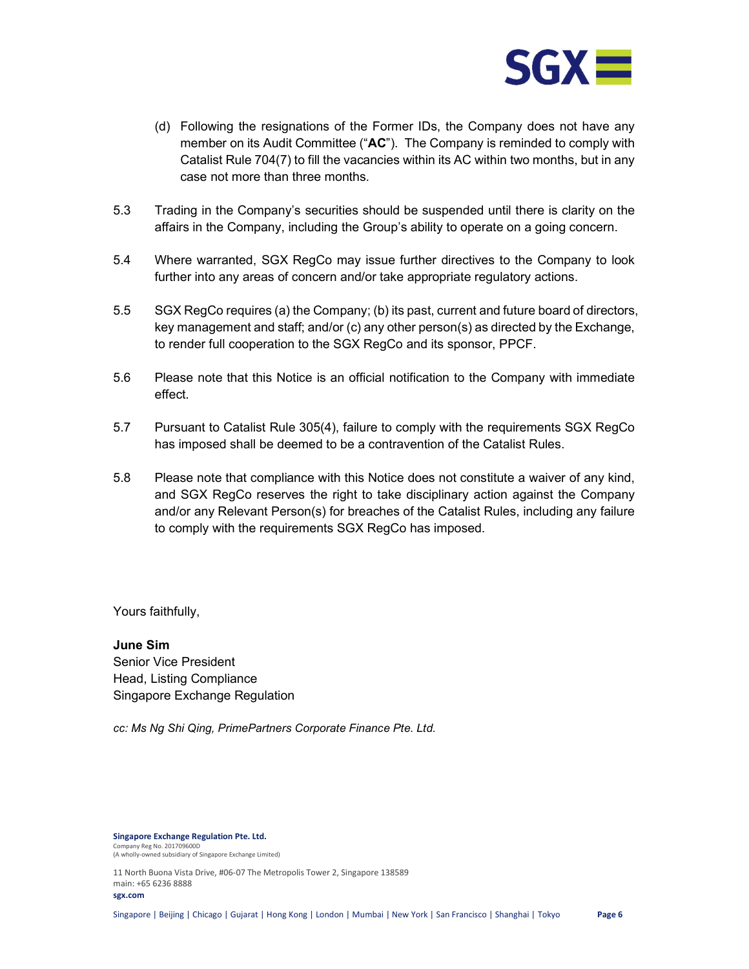

- (d) Following the resignations of the Former IDs, the Company does not have any member on its Audit Committee ( $A^c$ ). The Company is reminded to comply with Catalist Rule 704(7) to fill the vacancies within its AC within two months, but in any case not more than three months.
- 5.3 Trading in the Company's securities should be suspended until there is clarity on the affairs in the Company, including the Group's ability to operate on a going concern.
- 5.4 Where warranted, SGX RegCo may issue further directives to the Company to look further into any areas of concern and/or take appropriate regulatory actions.
- 5.5 SGX RegCo requires (a) the Company; (b) its past, current and future board of directors, key management and staff; and/or (c) any other person(s) as directed by the Exchange, to render full cooperation to the SGX RegCo and its sponsor, PPCF.
- 5.6 Please note that this Notice is an official notification to the Company with immediate effect.
- 5.7 Pursuant to Catalist Rule 305(4), failure to comply with the requirements SGX RegCo has imposed shall be deemed to be a contravention of the Catalist Rules.
- 5.8 Please note that compliance with this Notice does not constitute a waiver of any kind, and SGX RegCo reserves the right to take disciplinary action against the Company and/or any Relevant Person(s) for breaches of the Catalist Rules, including any failure to comply with the requirements SGX RegCo has imposed.

Yours faithfully,

June Sim Senior Vice President Head, Listing Compliance Singapore Exchange Regulation

cc: Ms Ng Shi Qing, PrimePartners Corporate Finance Pte. Ltd.

Singapore Exchange Regulation Pte. Ltd. .<br>Iny Reg No. 201709600D (A wholly-owned subsidiary of Singapore Exchange Limited)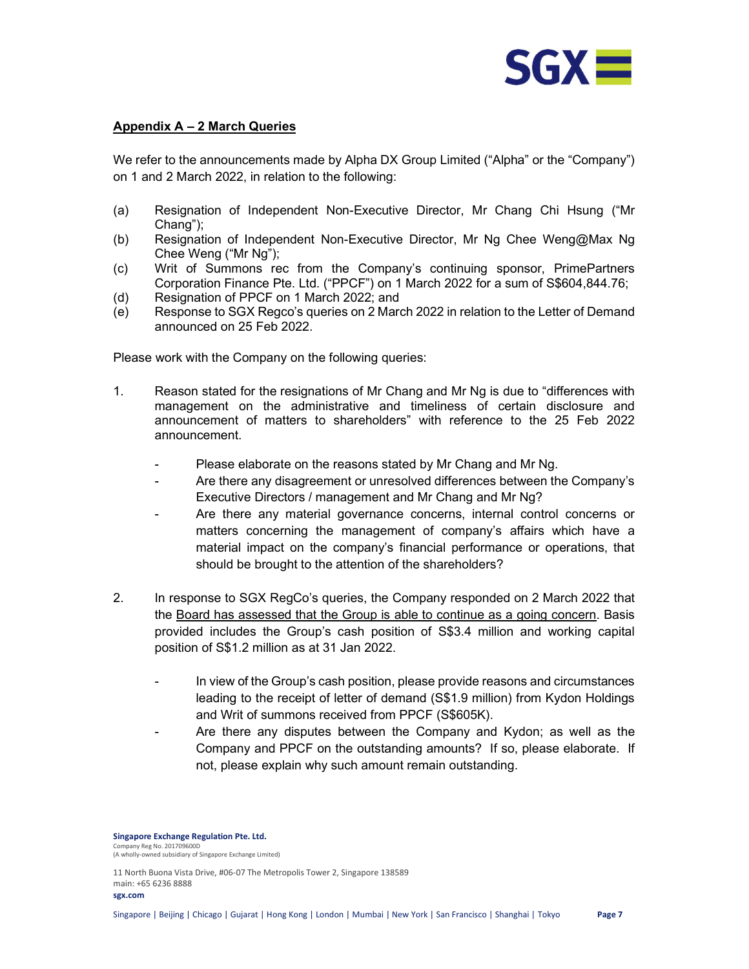

#### Appendix A – 2 March Queries

We refer to the announcements made by Alpha DX Group Limited ("Alpha" or the "Company") on 1 and 2 March 2022, in relation to the following:

- (a) Resignation of Independent Non-Executive Director, Mr Chang Chi Hsung ("Mr Chang");
- (b) Resignation of Independent Non-Executive Director, Mr Ng Chee Weng@Max Ng Chee Weng ("Mr Ng");
- (c) Writ of Summons rec from the Company's continuing sponsor, PrimePartners Corporation Finance Pte. Ltd. ("PPCF") on 1 March 2022 for a sum of S\$604,844.76;
- (d) Resignation of PPCF on 1 March 2022; and
- (e) Response to SGX Regco's queries on 2 March 2022 in relation to the Letter of Demand announced on 25 Feb 2022.

Please work with the Company on the following queries:

- 1. Reason stated for the resignations of Mr Chang and Mr Ng is due to "differences with management on the administrative and timeliness of certain disclosure and announcement of matters to shareholders" with reference to the 25 Feb 2022 announcement.
	- Please elaborate on the reasons stated by Mr Chang and Mr Ng.
	- Are there any disagreement or unresolved differences between the Company's Executive Directors / management and Mr Chang and Mr Ng?
	- Are there any material governance concerns, internal control concerns or matters concerning the management of company's affairs which have a material impact on the company's financial performance or operations, that should be brought to the attention of the shareholders?
- 2. In response to SGX RegCo's queries, the Company responded on 2 March 2022 that the Board has assessed that the Group is able to continue as a going concern. Basis provided includes the Group's cash position of S\$3.4 million and working capital position of S\$1.2 million as at 31 Jan 2022.
	- In view of the Group's cash position, please provide reasons and circumstances leading to the receipt of letter of demand (S\$1.9 million) from Kydon Holdings and Writ of summons received from PPCF (S\$605K).
	- Are there any disputes between the Company and Kydon; as well as the Company and PPCF on the outstanding amounts? If so, please elaborate. If not, please explain why such amount remain outstanding.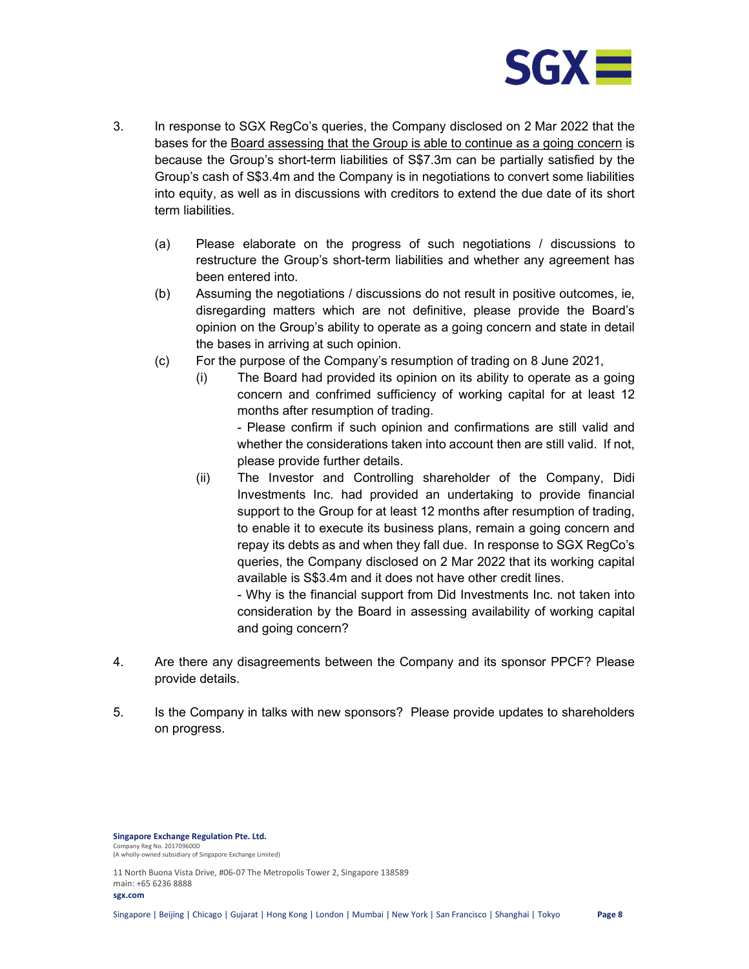

- 3. In response to SGX RegCo's queries, the Company disclosed on 2 Mar 2022 that the bases for the Board assessing that the Group is able to continue as a going concern is because the Group's short-term liabilities of S\$7.3m can be partially satisfied by the Group's cash of S\$3.4m and the Company is in negotiations to convert some liabilities into equity, as well as in discussions with creditors to extend the due date of its short term liabilities.
	- (a) Please elaborate on the progress of such negotiations / discussions to restructure the Group's short-term liabilities and whether any agreement has been entered into.
	- (b) Assuming the negotiations / discussions do not result in positive outcomes, ie, disregarding matters which are not definitive, please provide the Board's opinion on the Group's ability to operate as a going concern and state in detail the bases in arriving at such opinion.
	- (c) For the purpose of the Company's resumption of trading on 8 June 2021,
		- (i) The Board had provided its opinion on its ability to operate as a going concern and confrimed sufficiency of working capital for at least 12 months after resumption of trading.

- Please confirm if such opinion and confirmations are still valid and whether the considerations taken into account then are still valid. If not, please provide further details.

(ii) The Investor and Controlling shareholder of the Company, Didi Investments Inc. had provided an undertaking to provide financial support to the Group for at least 12 months after resumption of trading, to enable it to execute its business plans, remain a going concern and repay its debts as and when they fall due. In response to SGX RegCo's queries, the Company disclosed on 2 Mar 2022 that its working capital available is S\$3.4m and it does not have other credit lines.

- Why is the financial support from Did Investments Inc. not taken into consideration by the Board in assessing availability of working capital and going concern?

- 4. Are there any disagreements between the Company and its sponsor PPCF? Please provide details.
- 5. Is the Company in talks with new sponsors? Please provide updates to shareholders on progress.

Singapore Exchange Regulation Pte. Ltd. .<br>Iny Reg No. 201709600D (A wholly-owned subsidiary of Singapore Exchange Limited)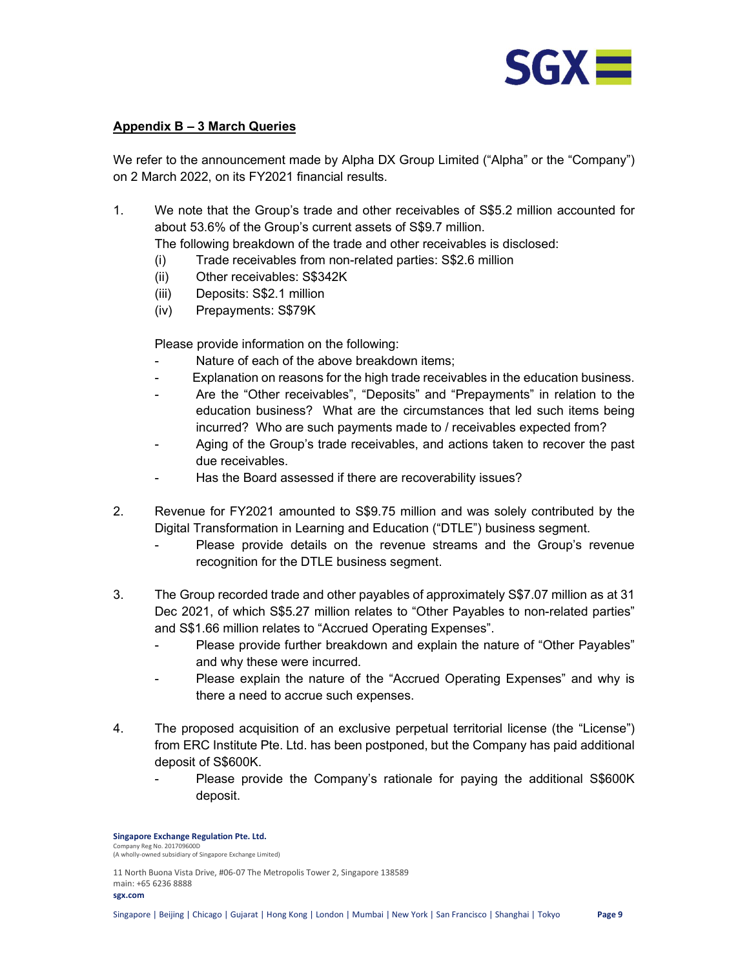

## Appendix B – 3 March Queries

We refer to the announcement made by Alpha DX Group Limited ("Alpha" or the "Company") on 2 March 2022, on its FY2021 financial results.

1. We note that the Group's trade and other receivables of S\$5.2 million accounted for about 53.6% of the Group's current assets of S\$9.7 million.

The following breakdown of the trade and other receivables is disclosed:

- (i) Trade receivables from non-related parties: S\$2.6 million
- (ii) Other receivables: S\$342K
- (iii) Deposits: S\$2.1 million
- (iv) Prepayments: S\$79K

Please provide information on the following:

- Nature of each of the above breakdown items:
- Explanation on reasons for the high trade receivables in the education business.
- Are the "Other receivables", "Deposits" and "Prepayments" in relation to the education business? What are the circumstances that led such items being incurred? Who are such payments made to / receivables expected from?
- Aging of the Group's trade receivables, and actions taken to recover the past due receivables.
- Has the Board assessed if there are recoverability issues?
- 2. Revenue for FY2021 amounted to S\$9.75 million and was solely contributed by the Digital Transformation in Learning and Education ("DTLE") business segment.
	- Please provide details on the revenue streams and the Group's revenue recognition for the DTLE business segment.
- 3. The Group recorded trade and other payables of approximately S\$7.07 million as at 31 Dec 2021, of which S\$5.27 million relates to "Other Payables to non-related parties" and S\$1.66 million relates to "Accrued Operating Expenses".
	- Please provide further breakdown and explain the nature of "Other Payables" and why these were incurred.
	- Please explain the nature of the "Accrued Operating Expenses" and why is there a need to accrue such expenses.
- 4. The proposed acquisition of an exclusive perpetual territorial license (the "License") from ERC Institute Pte. Ltd. has been postponed, but the Company has paid additional deposit of S\$600K.
	- Please provide the Company's rationale for paying the additional S\$600K deposit.

Singapore Exchange Regulation Pte. Ltd. .<br>ny Reg No. 201709600D (A wholly-owned subsidiary of Singapore Exchange Limited)